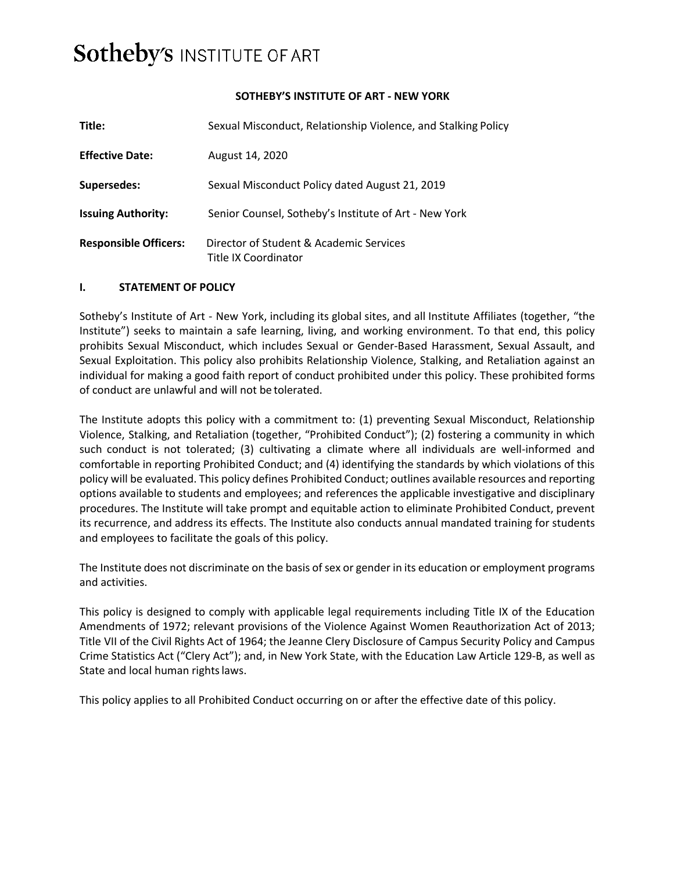# **Sotheby's INSTITUTE OF ART**

## **SOTHEBY'S INSTITUTE OF ART - NEW YORK**

| Title:                       | Sexual Misconduct, Relationship Violence, and Stalking Policy   |
|------------------------------|-----------------------------------------------------------------|
| <b>Effective Date:</b>       | August 14, 2020                                                 |
| <b>Supersedes:</b>           | Sexual Misconduct Policy dated August 21, 2019                  |
| <b>Issuing Authority:</b>    | Senior Counsel, Sotheby's Institute of Art - New York           |
| <b>Responsible Officers:</b> | Director of Student & Academic Services<br>Title IX Coordinator |

## **I. STATEMENT OF POLICY**

Sotheby's Institute of Art - New York, including its global sites, and all Institute Affiliates (together, "the Institute") seeks to maintain a safe learning, living, and working environment. To that end, this policy prohibits Sexual Misconduct, which includes Sexual or Gender-Based Harassment, Sexual Assault, and Sexual Exploitation. This policy also prohibits Relationship Violence, Stalking, and Retaliation against an individual for making a good faith report of conduct prohibited under this policy. These prohibited forms of conduct are unlawful and will not be tolerated.

The Institute adopts this policy with a commitment to: (1) preventing Sexual Misconduct, Relationship Violence, Stalking, and Retaliation (together, "Prohibited Conduct"); (2) fostering a community in which such conduct is not tolerated; (3) cultivating a climate where all individuals are well-informed and comfortable in reporting Prohibited Conduct; and (4) identifying the standards by which violations of this policy will be evaluated. This policy defines Prohibited Conduct; outlines available resources and reporting options available to students and employees; and references the applicable investigative and disciplinary procedures. The Institute will take prompt and equitable action to eliminate Prohibited Conduct, prevent its recurrence, and address its effects. The Institute also conducts annual mandated training for students and employees to facilitate the goals of this policy.

The Institute does not discriminate on the basis of sex or gender in its education or employment programs and activities.

This policy is designed to comply with applicable legal requirements including Title IX of the Education Amendments of 1972; relevant provisions of the Violence Against Women Reauthorization Act of 2013; Title VII of the Civil Rights Act of 1964; the Jeanne Clery Disclosure of Campus Security Policy and Campus Crime Statistics Act ("Clery Act"); and, in New York State, with the Education Law Article 129-B, as well as State and local human rights laws.

This policy applies to all Prohibited Conduct occurring on or after the effective date of this policy.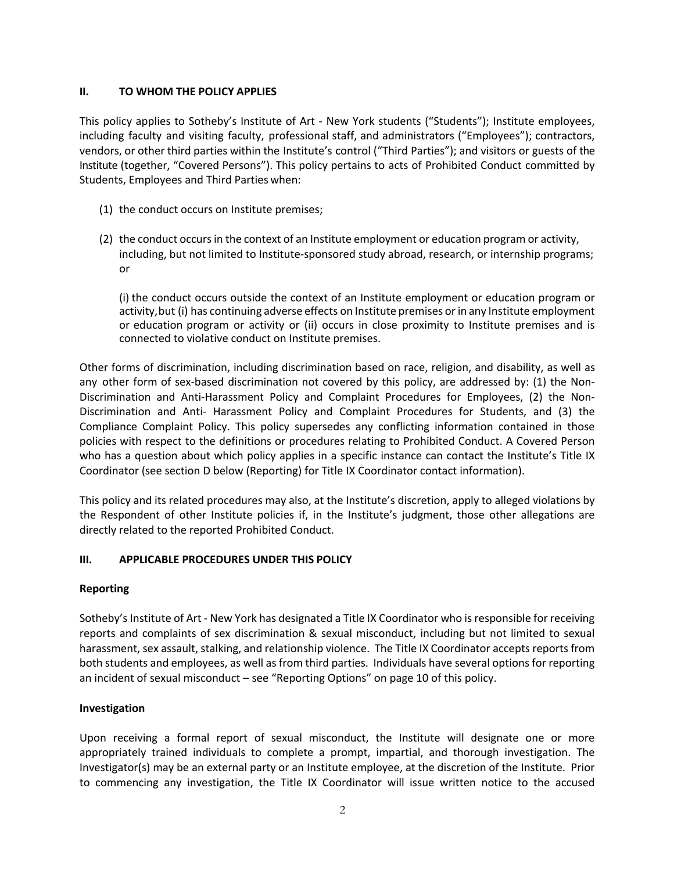## **II. TO WHOM THE POLICY APPLIES**

This policy applies to Sotheby's Institute of Art - New York students ("Students"); Institute employees, including faculty and visiting faculty, professional staff, and administrators ("Employees"); contractors, vendors, or other third parties within the Institute's control ("Third Parties"); and visitors or guests of the Institute (together, "Covered Persons"). This policy pertains to acts of Prohibited Conduct committed by Students, Employees and Third Parties when:

- (1) the conduct occurs on Institute premises;
- (2) the conduct occursin the context of an Institute employment or education program or activity, including, but not limited to Institute-sponsored study abroad, research, or internship programs; or

(i) the conduct occurs outside the context of an Institute employment or education program or activity, but (i) has continuing adverse effects on Institute premises or in any Institute employment or education program or activity or (ii) occurs in close proximity to Institute premises and is connected to violative conduct on Institute premises.

Other forms of discrimination, including discrimination based on race, religion, and disability, as well as any other form of sex-based discrimination not covered by this policy, are addressed by: (1) the Non-Discrimination and Anti-Harassment Policy and Complaint Procedures for Employees, (2) the Non-Discrimination and Anti- Harassment Policy and Complaint Procedures for Students, and (3) the Compliance Complaint Policy. This policy supersedes any conflicting information contained in those policies with respect to the definitions or procedures relating to Prohibited Conduct. A Covered Person who has a question about which policy applies in a specific instance can contact the Institute's Title IX Coordinator (see section D below (Reporting) for Title IX Coordinator contact information).

This policy and its related procedures may also, at the Institute's discretion, apply to alleged violations by the Respondent of other Institute policies if, in the Institute's judgment, those other allegations are directly related to the reported Prohibited Conduct.

# **III. APPLICABLE PROCEDURES UNDER THIS POLICY**

## **Reporting**

Sotheby's Institute of Art - New York has designated a Title IX Coordinator who is responsible for receiving reports and complaints of sex discrimination & sexual misconduct, including but not limited to sexual harassment, sex assault, stalking, and relationship violence. The Title IX Coordinator accepts reports from both students and employees, as well as from third parties. Individuals have several options for reporting an incident of sexual misconduct – see "Reporting Options" on page 10 of this policy.

## **Investigation**

Upon receiving a formal report of sexual misconduct, the Institute will designate one or more appropriately trained individuals to complete a prompt, impartial, and thorough investigation. The Investigator(s) may be an external party or an Institute employee, at the discretion of the Institute. Prior to commencing any investigation, the Title IX Coordinator will issue written notice to the accused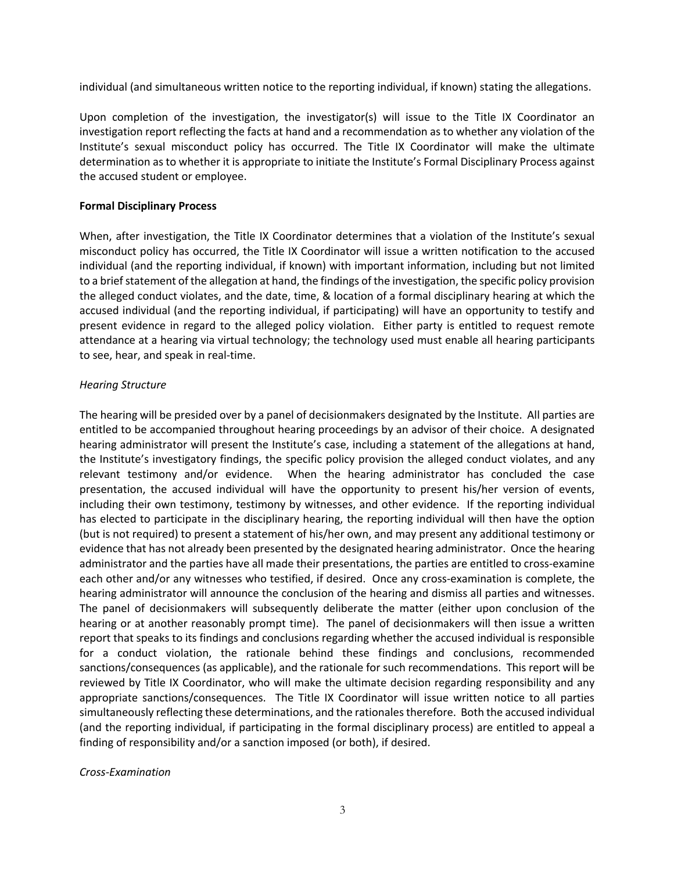individual (and simultaneous written notice to the reporting individual, if known) stating the allegations.

Upon completion of the investigation, the investigator(s) will issue to the Title IX Coordinator an investigation report reflecting the facts at hand and a recommendation as to whether any violation of the Institute's sexual misconduct policy has occurred. The Title IX Coordinator will make the ultimate determination as to whether it is appropriate to initiate the Institute's Formal Disciplinary Process against the accused student or employee.

#### **Formal Disciplinary Process**

When, after investigation, the Title IX Coordinator determines that a violation of the Institute's sexual misconduct policy has occurred, the Title IX Coordinator will issue a written notification to the accused individual (and the reporting individual, if known) with important information, including but not limited to a brief statement of the allegation at hand, the findings of the investigation, the specific policy provision the alleged conduct violates, and the date, time, & location of a formal disciplinary hearing at which the accused individual (and the reporting individual, if participating) will have an opportunity to testify and present evidence in regard to the alleged policy violation. Either party is entitled to request remote attendance at a hearing via virtual technology; the technology used must enable all hearing participants to see, hear, and speak in real-time.

## *Hearing Structure*

The hearing will be presided over by a panel of decisionmakers designated by the Institute. All parties are entitled to be accompanied throughout hearing proceedings by an advisor of their choice. A designated hearing administrator will present the Institute's case, including a statement of the allegations at hand, the Institute's investigatory findings, the specific policy provision the alleged conduct violates, and any relevant testimony and/or evidence. When the hearing administrator has concluded the case presentation, the accused individual will have the opportunity to present his/her version of events, including their own testimony, testimony by witnesses, and other evidence. If the reporting individual has elected to participate in the disciplinary hearing, the reporting individual will then have the option (but is not required) to present a statement of his/her own, and may present any additional testimony or evidence that has not already been presented by the designated hearing administrator. Once the hearing administrator and the parties have all made their presentations, the parties are entitled to cross-examine each other and/or any witnesses who testified, if desired. Once any cross-examination is complete, the hearing administrator will announce the conclusion of the hearing and dismiss all parties and witnesses. The panel of decisionmakers will subsequently deliberate the matter (either upon conclusion of the hearing or at another reasonably prompt time). The panel of decisionmakers will then issue a written report that speaks to its findings and conclusions regarding whether the accused individual is responsible for a conduct violation, the rationale behind these findings and conclusions, recommended sanctions/consequences (as applicable), and the rationale for such recommendations. This report will be reviewed by Title IX Coordinator, who will make the ultimate decision regarding responsibility and any appropriate sanctions/consequences. The Title IX Coordinator will issue written notice to all parties simultaneously reflecting these determinations, and the rationales therefore. Both the accused individual (and the reporting individual, if participating in the formal disciplinary process) are entitled to appeal a finding of responsibility and/or a sanction imposed (or both), if desired.

#### *Cross-Examination*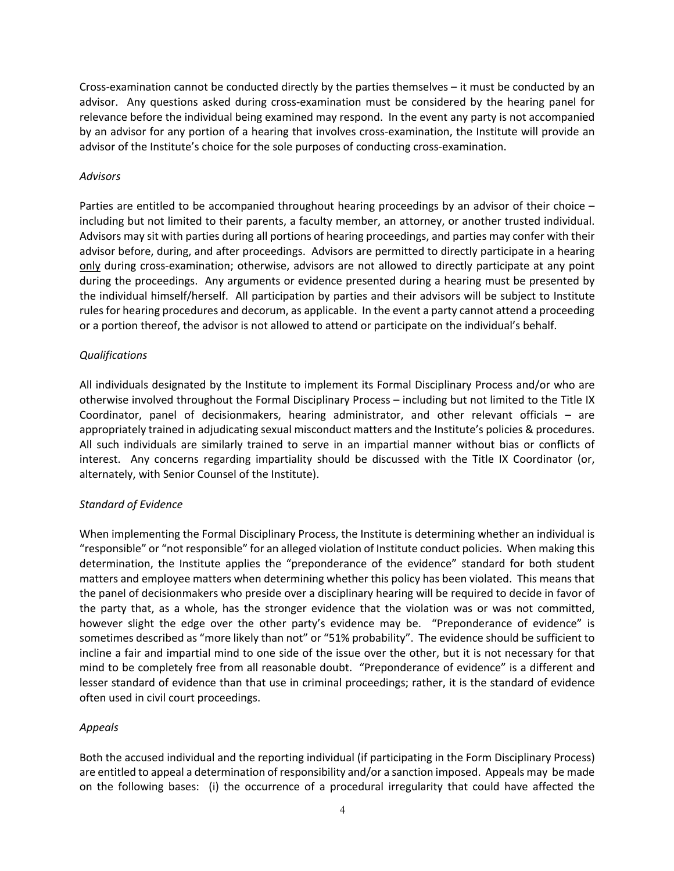Cross-examination cannot be conducted directly by the parties themselves – it must be conducted by an advisor. Any questions asked during cross-examination must be considered by the hearing panel for relevance before the individual being examined may respond. In the event any party is not accompanied by an advisor for any portion of a hearing that involves cross-examination, the Institute will provide an advisor of the Institute's choice for the sole purposes of conducting cross-examination.

#### *Advisors*

Parties are entitled to be accompanied throughout hearing proceedings by an advisor of their choice – including but not limited to their parents, a faculty member, an attorney, or another trusted individual. Advisors may sit with parties during all portions of hearing proceedings, and parties may confer with their advisor before, during, and after proceedings. Advisors are permitted to directly participate in a hearing only during cross-examination; otherwise, advisors are not allowed to directly participate at any point during the proceedings. Any arguments or evidence presented during a hearing must be presented by the individual himself/herself. All participation by parties and their advisors will be subject to Institute rules for hearing procedures and decorum, as applicable. In the event a party cannot attend a proceeding or a portion thereof, the advisor is not allowed to attend or participate on the individual's behalf.

## *Qualifications*

All individuals designated by the Institute to implement its Formal Disciplinary Process and/or who are otherwise involved throughout the Formal Disciplinary Process – including but not limited to the Title IX Coordinator, panel of decisionmakers, hearing administrator, and other relevant officials – are appropriately trained in adjudicating sexual misconduct matters and the Institute's policies & procedures. All such individuals are similarly trained to serve in an impartial manner without bias or conflicts of interest. Any concerns regarding impartiality should be discussed with the Title IX Coordinator (or, alternately, with Senior Counsel of the Institute).

## *Standard of Evidence*

When implementing the Formal Disciplinary Process, the Institute is determining whether an individual is "responsible" or "not responsible" for an alleged violation of Institute conduct policies. When making this determination, the Institute applies the "preponderance of the evidence" standard for both student matters and employee matters when determining whether this policy has been violated. This means that the panel of decisionmakers who preside over a disciplinary hearing will be required to decide in favor of the party that, as a whole, has the stronger evidence that the violation was or was not committed, however slight the edge over the other party's evidence may be. "Preponderance of evidence" is sometimes described as "more likely than not" or "51% probability". The evidence should be sufficient to incline a fair and impartial mind to one side of the issue over the other, but it is not necessary for that mind to be completely free from all reasonable doubt. "Preponderance of evidence" is a different and lesser standard of evidence than that use in criminal proceedings; rather, it is the standard of evidence often used in civil court proceedings.

## *Appeals*

Both the accused individual and the reporting individual (if participating in the Form Disciplinary Process) are entitled to appeal a determination of responsibility and/or a sanction imposed. Appeals may be made on the following bases: (i) the occurrence of a procedural irregularity that could have affected the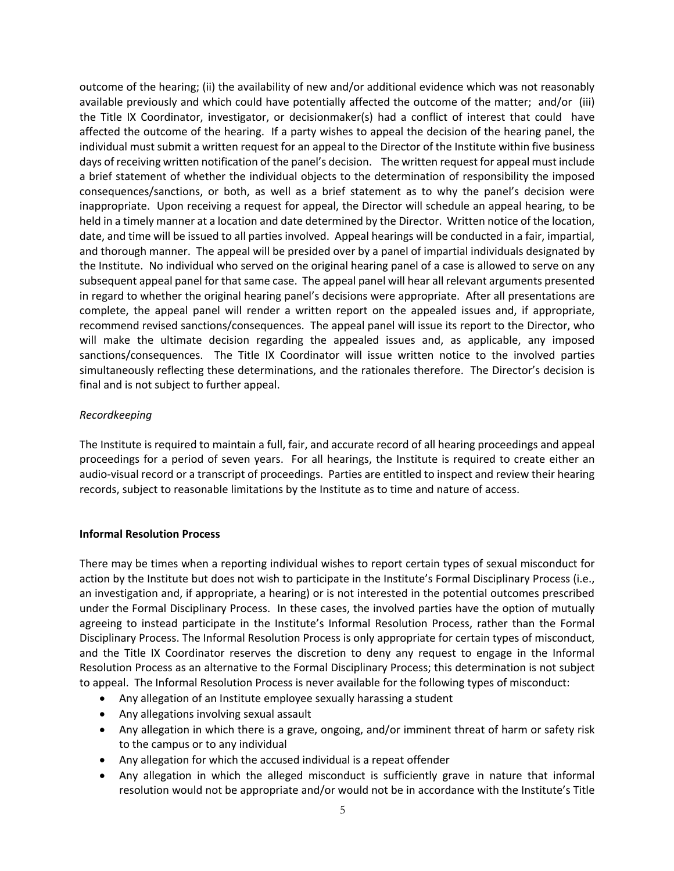outcome of the hearing; (ii) the availability of new and/or additional evidence which was not reasonably available previously and which could have potentially affected the outcome of the matter; and/or (iii) the Title IX Coordinator, investigator, or decisionmaker(s) had a conflict of interest that could have affected the outcome of the hearing. If a party wishes to appeal the decision of the hearing panel, the individual must submit a written request for an appeal to the Director of the Institute within five business days of receiving written notification of the panel's decision. The written request for appeal must include a brief statement of whether the individual objects to the determination of responsibility the imposed consequences/sanctions, or both, as well as a brief statement as to why the panel's decision were inappropriate. Upon receiving a request for appeal, the Director will schedule an appeal hearing, to be held in a timely manner at a location and date determined by the Director. Written notice of the location, date, and time will be issued to all parties involved. Appeal hearings will be conducted in a fair, impartial, and thorough manner. The appeal will be presided over by a panel of impartial individuals designated by the Institute. No individual who served on the original hearing panel of a case is allowed to serve on any subsequent appeal panel for that same case. The appeal panel will hear all relevant arguments presented in regard to whether the original hearing panel's decisions were appropriate. After all presentations are complete, the appeal panel will render a written report on the appealed issues and, if appropriate, recommend revised sanctions/consequences. The appeal panel will issue its report to the Director, who will make the ultimate decision regarding the appealed issues and, as applicable, any imposed sanctions/consequences. The Title IX Coordinator will issue written notice to the involved parties simultaneously reflecting these determinations, and the rationales therefore. The Director's decision is final and is not subject to further appeal.

## *Recordkeeping*

The Institute is required to maintain a full, fair, and accurate record of all hearing proceedings and appeal proceedings for a period of seven years. For all hearings, the Institute is required to create either an audio-visual record or a transcript of proceedings. Parties are entitled to inspect and review their hearing records, subject to reasonable limitations by the Institute as to time and nature of access.

#### **Informal Resolution Process**

There may be times when a reporting individual wishes to report certain types of sexual misconduct for action by the Institute but does not wish to participate in the Institute's Formal Disciplinary Process (i.e., an investigation and, if appropriate, a hearing) or is not interested in the potential outcomes prescribed under the Formal Disciplinary Process. In these cases, the involved parties have the option of mutually agreeing to instead participate in the Institute's Informal Resolution Process, rather than the Formal Disciplinary Process. The Informal Resolution Process is only appropriate for certain types of misconduct, and the Title IX Coordinator reserves the discretion to deny any request to engage in the Informal Resolution Process as an alternative to the Formal Disciplinary Process; this determination is not subject to appeal. The Informal Resolution Process is never available for the following types of misconduct:

- Any allegation of an Institute employee sexually harassing a student
- Any allegations involving sexual assault
- Any allegation in which there is a grave, ongoing, and/or imminent threat of harm or safety risk to the campus or to any individual
- Any allegation for which the accused individual is a repeat offender
- Any allegation in which the alleged misconduct is sufficiently grave in nature that informal resolution would not be appropriate and/or would not be in accordance with the Institute's Title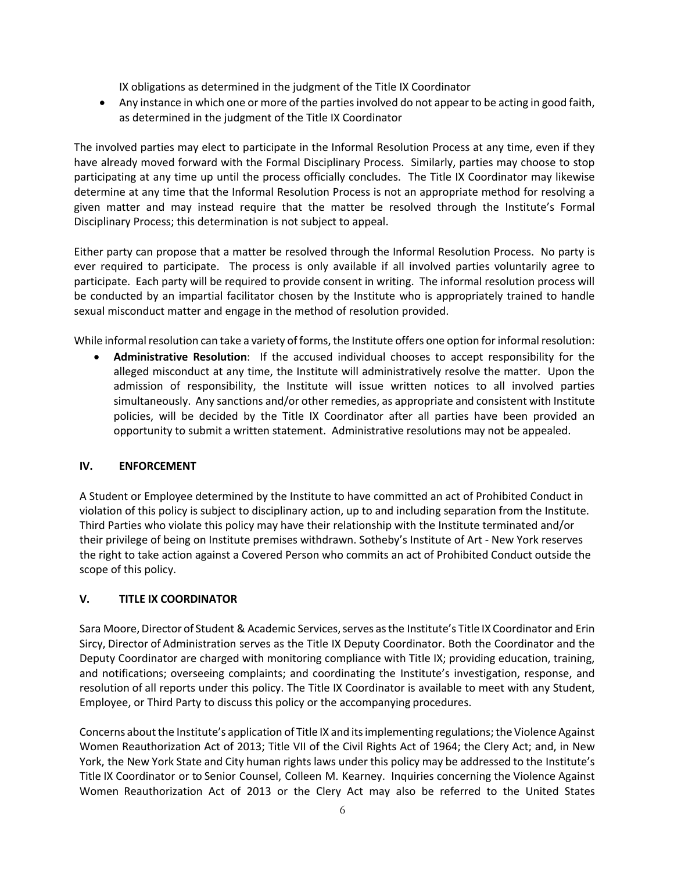IX obligations as determined in the judgment of the Title IX Coordinator

• Any instance in which one or more of the parties involved do not appear to be acting in good faith, as determined in the judgment of the Title IX Coordinator

The involved parties may elect to participate in the Informal Resolution Process at any time, even if they have already moved forward with the Formal Disciplinary Process. Similarly, parties may choose to stop participating at any time up until the process officially concludes. The Title IX Coordinator may likewise determine at any time that the Informal Resolution Process is not an appropriate method for resolving a given matter and may instead require that the matter be resolved through the Institute's Formal Disciplinary Process; this determination is not subject to appeal.

Either party can propose that a matter be resolved through the Informal Resolution Process. No party is ever required to participate. The process is only available if all involved parties voluntarily agree to participate. Each party will be required to provide consent in writing. The informal resolution process will be conducted by an impartial facilitator chosen by the Institute who is appropriately trained to handle sexual misconduct matter and engage in the method of resolution provided.

While informal resolution can take a variety of forms, the Institute offers one option for informal resolution:

• **Administrative Resolution**: If the accused individual chooses to accept responsibility for the alleged misconduct at any time, the Institute will administratively resolve the matter. Upon the admission of responsibility, the Institute will issue written notices to all involved parties simultaneously. Any sanctions and/or other remedies, as appropriate and consistent with Institute policies, will be decided by the Title IX Coordinator after all parties have been provided an opportunity to submit a written statement. Administrative resolutions may not be appealed.

# **IV. ENFORCEMENT**

A Student or Employee determined by the Institute to have committed an act of Prohibited Conduct in violation of this policy is subject to disciplinary action, up to and including separation from the Institute. Third Parties who violate this policy may have their relationship with the Institute terminated and/or their privilege of being on Institute premises withdrawn. Sotheby's Institute of Art - New York reserves the right to take action against a Covered Person who commits an act of Prohibited Conduct outside the scope of this policy.

# **V. TITLE IX COORDINATOR**

Sara Moore, Director of Student & Academic Services, serves as the Institute's Title IX Coordinator and Erin Sircy, Director of Administration serves as the Title IX Deputy Coordinator. Both the Coordinator and the Deputy Coordinator are charged with monitoring compliance with Title IX; providing education, training, and notifications; overseeing complaints; and coordinating the Institute's investigation, response, and resolution of all reports under this policy. The Title IX Coordinator is available to meet with any Student, Employee, or Third Party to discuss this policy or the accompanying procedures.

Concerns about the Institute's application of Title IX and its implementing regulations; the Violence Against Women Reauthorization Act of 2013; Title VII of the Civil Rights Act of 1964; the Clery Act; and, in New York, the New York State and City human rights laws under this policy may be addressed to the Institute's Title IX Coordinator or to Senior Counsel, Colleen M. Kearney. Inquiries concerning the Violence Against Women Reauthorization Act of 2013 or the Clery Act may also be referred to the United States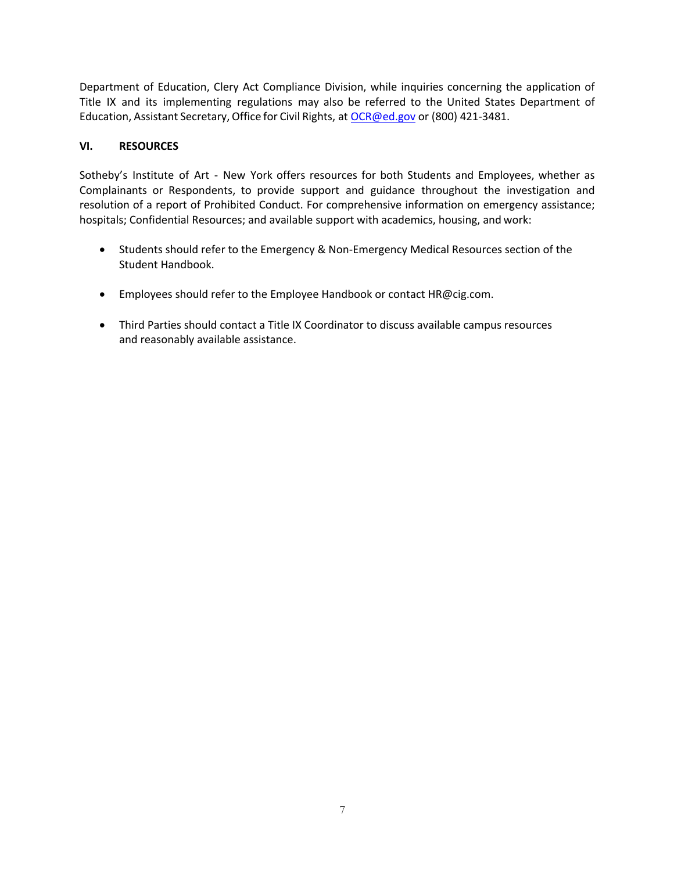Department of Education, Clery Act Compliance Division, while inquiries concerning the application of Title IX and its implementing regulations may also be referred to the United States Department of Education, Assistant Secretary, Office for Civil Rights, at OCR@ed.gov or (800) 421-3481.

## **VI. RESOURCES**

Sotheby's Institute of Art - New York offers resources for both Students and Employees, whether as Complainants or Respondents, to provide support and guidance throughout the investigation and resolution of a report of Prohibited Conduct. For comprehensive information on emergency assistance; hospitals; Confidential Resources; and available support with academics, housing, and work:

- Students should refer to the Emergency & Non-Emergency Medical Resources section of the Student Handbook.
- Employees should refer to the Employee Handbook or contact HR@cig.com.
- Third Parties should contact a Title IX Coordinator to discuss available campus resources and reasonably available assistance.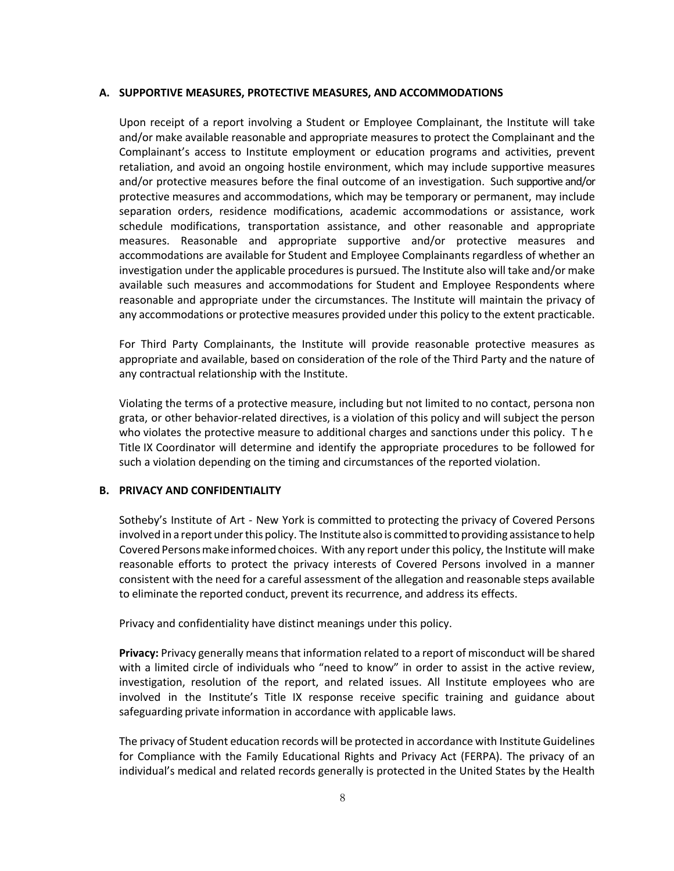#### **A. SUPPORTIVE MEASURES, PROTECTIVE MEASURES, AND ACCOMMODATIONS**

Upon receipt of a report involving a Student or Employee Complainant, the Institute will take and/or make available reasonable and appropriate measures to protect the Complainant and the Complainant's access to Institute employment or education programs and activities, prevent retaliation, and avoid an ongoing hostile environment, which may include supportive measures and/or protective measures before the final outcome of an investigation. Such supportive and/or protective measures and accommodations, which may be temporary or permanent, may include separation orders, residence modifications, academic accommodations or assistance, work schedule modifications, transportation assistance, and other reasonable and appropriate measures. Reasonable and appropriate supportive and/or protective measures and accommodations are available for Student and Employee Complainants regardless of whether an investigation under the applicable procedures is pursued. The Institute also will take and/or make available such measures and accommodations for Student and Employee Respondents where reasonable and appropriate under the circumstances. The Institute will maintain the privacy of any accommodations or protective measures provided under this policy to the extent practicable.

For Third Party Complainants, the Institute will provide reasonable protective measures as appropriate and available, based on consideration of the role of the Third Party and the nature of any contractual relationship with the Institute.

Violating the terms of a protective measure, including but not limited to no contact, persona non grata, or other behavior-related directives, is a violation of this policy and will subject the person who violates the protective measure to additional charges and sanctions under this policy. The Title IX Coordinator will determine and identify the appropriate procedures to be followed for such a violation depending on the timing and circumstances of the reported violation.

#### **B. PRIVACY AND CONFIDENTIALITY**

Sotheby's Institute of Art - New York is committed to protecting the privacy of Covered Persons involved in a report under this policy. The Institute also is committed to providing assistance to help Covered Persons make informed choices. With any report under this policy, the Institute will make reasonable efforts to protect the privacy interests of Covered Persons involved in a manner consistent with the need for a careful assessment of the allegation and reasonable steps available to eliminate the reported conduct, prevent its recurrence, and address its effects.

Privacy and confidentiality have distinct meanings under this policy.

**Privacy:** Privacy generally means that information related to a report of misconduct will be shared with a limited circle of individuals who "need to know" in order to assist in the active review, investigation, resolution of the report, and related issues. All Institute employees who are involved in the Institute's Title IX response receive specific training and guidance about safeguarding private information in accordance with applicable laws.

The privacy of Student education records will be protected in accordance with Institute Guidelines for Compliance with the Family Educational Rights and Privacy Act (FERPA). The privacy of an individual's medical and related records generally is protected in the United States by the Health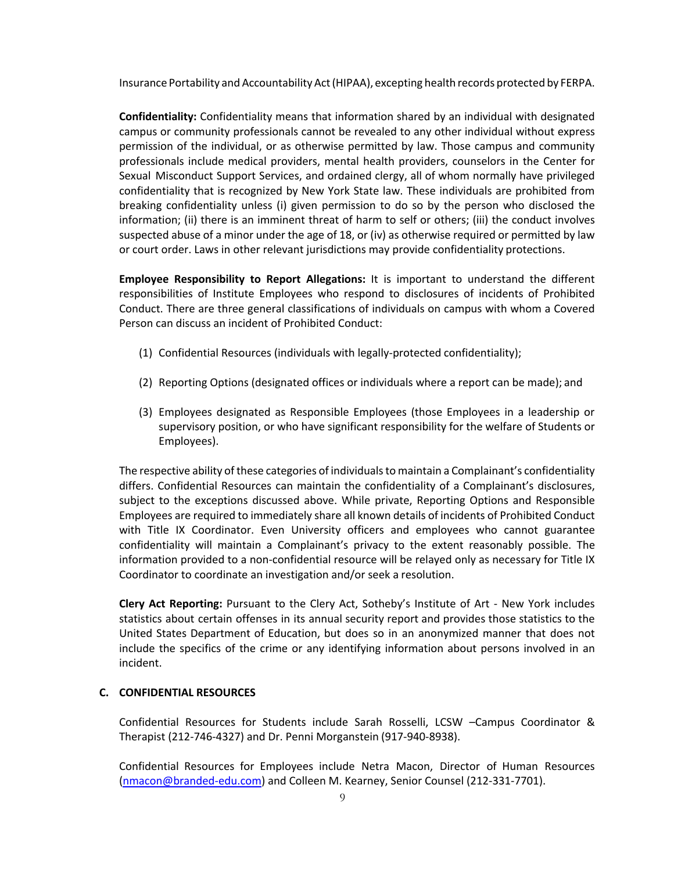Insurance Portability and Accountability Act (HIPAA), excepting health records protected by FERPA.

**Confidentiality:** Confidentiality means that information shared by an individual with designated campus or community professionals cannot be revealed to any other individual without express permission of the individual, or as otherwise permitted by law. Those campus and community professionals include medical providers, mental health providers, counselors in the Center for Sexual Misconduct Support Services, and ordained clergy, all of whom normally have privileged confidentiality that is recognized by New York State law. These individuals are prohibited from breaking confidentiality unless (i) given permission to do so by the person who disclosed the information; (ii) there is an imminent threat of harm to self or others; (iii) the conduct involves suspected abuse of a minor under the age of 18, or (iv) as otherwise required or permitted by law or court order. Laws in other relevant jurisdictions may provide confidentiality protections.

**Employee Responsibility to Report Allegations:** It is important to understand the different responsibilities of Institute Employees who respond to disclosures of incidents of Prohibited Conduct. There are three general classifications of individuals on campus with whom a Covered Person can discuss an incident of Prohibited Conduct:

- (1) Confidential Resources (individuals with legally-protected confidentiality);
- (2) Reporting Options (designated offices or individuals where a report can be made); and
- (3) Employees designated as Responsible Employees (those Employees in a leadership or supervisory position, or who have significant responsibility for the welfare of Students or Employees).

The respective ability of these categories of individuals to maintain a Complainant's confidentiality differs. Confidential Resources can maintain the confidentiality of a Complainant's disclosures, subject to the exceptions discussed above. While private, Reporting Options and Responsible Employees are required to immediately share all known details of incidents of Prohibited Conduct with Title IX Coordinator. Even University officers and employees who cannot guarantee confidentiality will maintain a Complainant's privacy to the extent reasonably possible. The information provided to a non-confidential resource will be relayed only as necessary for Title IX Coordinator to coordinate an investigation and/or seek a resolution.

**Clery Act Reporting:** Pursuant to the Clery Act, Sotheby's Institute of Art - New York includes statistics about certain offenses in its annual security report and provides those statistics to the United States Department of Education, but does so in an anonymized manner that does not include the specifics of the crime or any identifying information about persons involved in an incident.

#### **C. CONFIDENTIAL RESOURCES**

Confidential Resources for Students include Sarah Rosselli, LCSW –Campus Coordinator & Therapist (212-746-4327) and Dr. Penni Morganstein (917-940-8938).

Confidential Resources for Employees include Netra Macon, Director of Human Resources (nmacon@branded-edu.com) and Colleen M. Kearney, Senior Counsel (212-331-7701).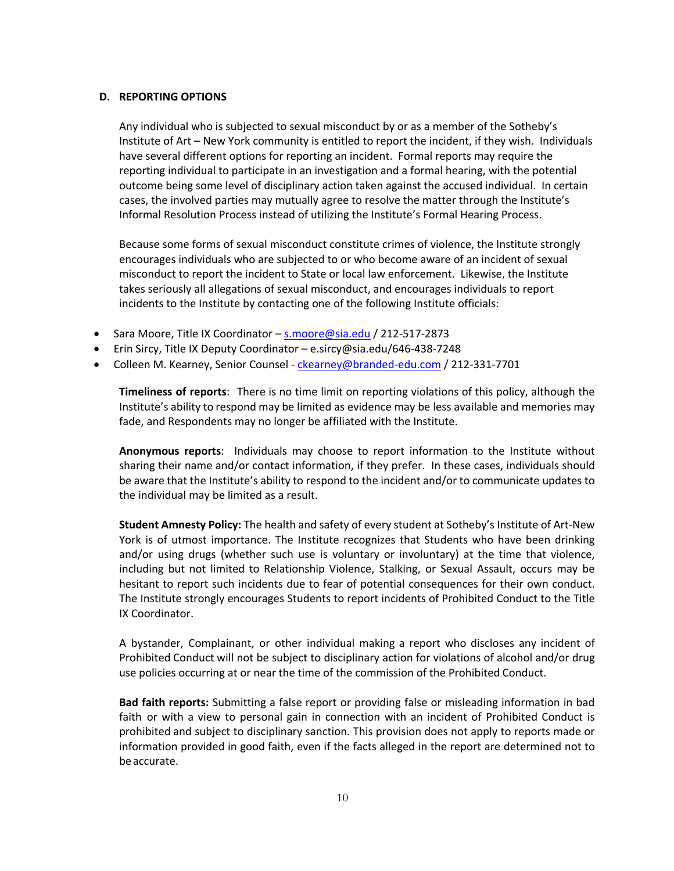#### **D. REPORTING OPTIONS**

Any individual who is subjected to sexual misconduct by or as a member of the Sotheby's Institute of Art – New York community is entitled to report the incident, if they wish. Individuals have several different options for reporting an incident. Formal reports may require the reporting individual to participate in an investigation and a formal hearing, with the potential outcome being some level of disciplinary action taken against the accused individual. In certain cases, the involved parties may mutually agree to resolve the matter through the Institute's Informal Resolution Process instead of utilizing the Institute's Formal Hearing Process.

Because some forms of sexual misconduct constitute crimes of violence, the Institute strongly encourages individuals who are subjected to or who become aware of an incident of sexual misconduct to report the incident to State or local law enforcement. Likewise, the Institute takes seriously all allegations of sexual misconduct, and encourages individuals to report incidents to the Institute by contacting one of the following Institute officials:

- Sara Moore, Title IX Coordinator s.moore@sia.edu / 212-517-2873
- Erin Sircy, Title IX Deputy Coordinator e.sircy@sia.edu/646-438-7248
- Colleen M. Kearney, Senior Counsel ckearney@branded-edu.com / 212-331-7701

**Timeliness of reports**: There is no time limit on reporting violations of this policy, although the Institute's ability to respond may be limited as evidence may be less available and memories may fade, and Respondents may no longer be affiliated with the Institute.

**Anonymous reports**: Individuals may choose to report information to the Institute without sharing their name and/or contact information, if they prefer. In these cases, individuals should be aware that the Institute's ability to respond to the incident and/or to communicate updates to the individual may be limited as a result.

**Student Amnesty Policy:** The health and safety of every student at Sotheby's Institute of Art-New York is of utmost importance. The Institute recognizes that Students who have been drinking and/or using drugs (whether such use is voluntary or involuntary) at the time that violence, including but not limited to Relationship Violence, Stalking, or Sexual Assault, occurs may be hesitant to report such incidents due to fear of potential consequences for their own conduct. The Institute strongly encourages Students to report incidents of Prohibited Conduct to the Title IX Coordinator.

A bystander, Complainant, or other individual making a report who discloses any incident of Prohibited Conduct will not be subject to disciplinary action for violations of alcohol and/or drug use policies occurring at or near the time of the commission of the Prohibited Conduct.

**Bad faith reports:** Submitting a false report or providing false or misleading information in bad faith or with a view to personal gain in connection with an incident of Prohibited Conduct is prohibited and subject to disciplinary sanction. This provision does not apply to reports made or information provided in good faith, even if the facts alleged in the report are determined not to beaccurate.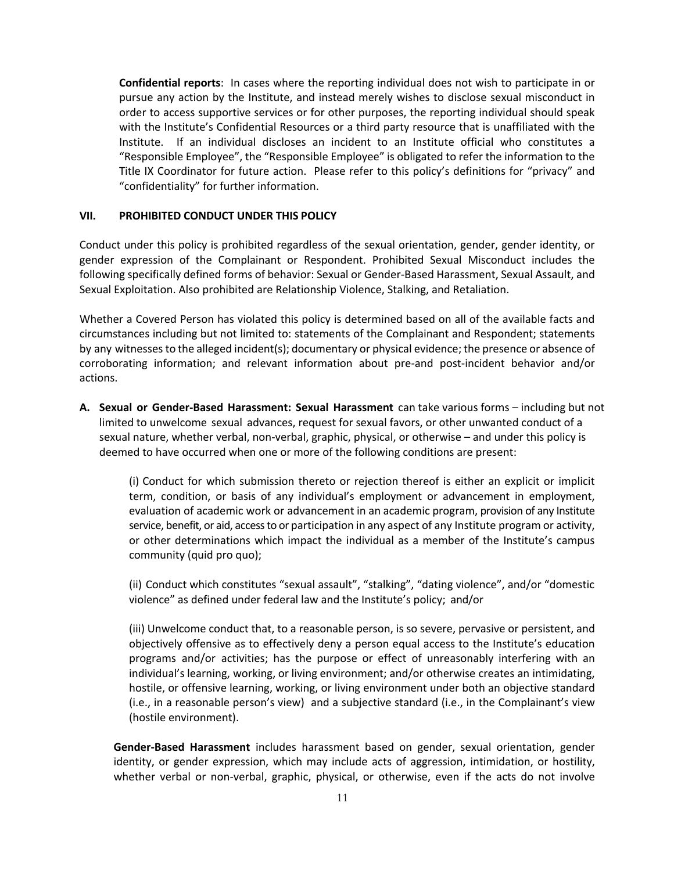**Confidential reports**: In cases where the reporting individual does not wish to participate in or pursue any action by the Institute, and instead merely wishes to disclose sexual misconduct in order to access supportive services or for other purposes, the reporting individual should speak with the Institute's Confidential Resources or a third party resource that is unaffiliated with the Institute. If an individual discloses an incident to an Institute official who constitutes a "Responsible Employee", the "Responsible Employee" is obligated to refer the information to the Title IX Coordinator for future action. Please refer to this policy's definitions for "privacy" and "confidentiality" for further information.

#### **VII. PROHIBITED CONDUCT UNDER THIS POLICY**

Conduct under this policy is prohibited regardless of the sexual orientation, gender, gender identity, or gender expression of the Complainant or Respondent. Prohibited Sexual Misconduct includes the following specifically defined forms of behavior: Sexual or Gender-Based Harassment, Sexual Assault, and Sexual Exploitation. Also prohibited are Relationship Violence, Stalking, and Retaliation.

Whether a Covered Person has violated this policy is determined based on all of the available facts and circumstances including but not limited to: statements of the Complainant and Respondent; statements by any witnessesto the alleged incident(s); documentary or physical evidence; the presence or absence of corroborating information; and relevant information about pre-and post-incident behavior and/or actions.

**A. Sexual or Gender-Based Harassment: Sexual Harassment** can take various forms – including but not limited to unwelcome sexual advances, request for sexual favors, or other unwanted conduct of a sexual nature, whether verbal, non-verbal, graphic, physical, or otherwise – and under this policy is deemed to have occurred when one or more of the following conditions are present:

(i) Conduct for which submission thereto or rejection thereof is either an explicit or implicit term, condition, or basis of any individual's employment or advancement in employment, evaluation of academic work or advancement in an academic program, provision of any Institute service, benefit, or aid, access to or participation in any aspect of any Institute program or activity, or other determinations which impact the individual as a member of the Institute's campus community (quid pro quo);

(ii) Conduct which constitutes "sexual assault", "stalking", "dating violence", and/or "domestic violence" as defined under federal law and the Institute's policy; and/or

(iii) Unwelcome conduct that, to a reasonable person, is so severe, pervasive or persistent, and objectively offensive as to effectively deny a person equal access to the Institute's education programs and/or activities; has the purpose or effect of unreasonably interfering with an individual's learning, working, or living environment; and/or otherwise creates an intimidating, hostile, or offensive learning, working, or living environment under both an objective standard (i.e., in a reasonable person's view) and a subjective standard (i.e., in the Complainant's view (hostile environment).

**Gender-Based Harassment** includes harassment based on gender, sexual orientation, gender identity, or gender expression, which may include acts of aggression, intimidation, or hostility, whether verbal or non-verbal, graphic, physical, or otherwise, even if the acts do not involve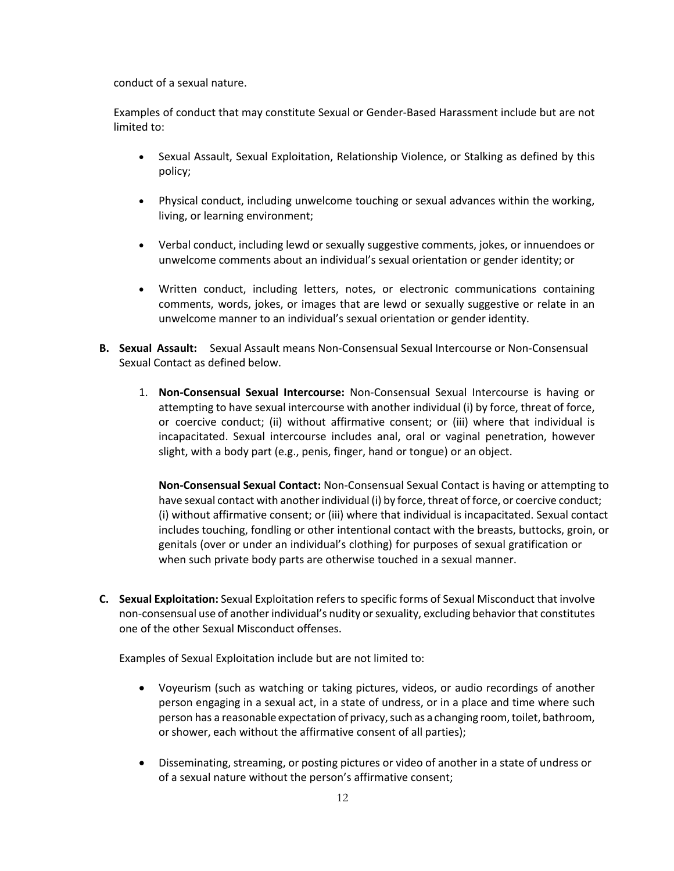conduct of a sexual nature.

Examples of conduct that may constitute Sexual or Gender-Based Harassment include but are not limited to:

- Sexual Assault, Sexual Exploitation, Relationship Violence, or Stalking as defined by this policy;
- Physical conduct, including unwelcome touching or sexual advances within the working, living, or learning environment;
- Verbal conduct, including lewd or sexually suggestive comments, jokes, or innuendoes or unwelcome comments about an individual's sexual orientation or gender identity; or
- Written conduct, including letters, notes, or electronic communications containing comments, words, jokes, or images that are lewd or sexually suggestive or relate in an unwelcome manner to an individual's sexual orientation or gender identity.
- **B. Sexual Assault:** Sexual Assault means Non-Consensual Sexual Intercourse or Non-Consensual Sexual Contact as defined below.
	- 1. **Non-Consensual Sexual Intercourse:** Non-Consensual Sexual Intercourse is having or attempting to have sexual intercourse with another individual (i) by force, threat of force, or coercive conduct; (ii) without affirmative consent; or (iii) where that individual is incapacitated. Sexual intercourse includes anal, oral or vaginal penetration, however slight, with a body part (e.g., penis, finger, hand or tongue) or an object.

**Non-Consensual Sexual Contact:** Non-Consensual Sexual Contact is having or attempting to have sexual contact with another individual (i) by force, threat of force, or coercive conduct; (i) without affirmative consent; or (iii) where that individual is incapacitated. Sexual contact includes touching, fondling or other intentional contact with the breasts, buttocks, groin, or genitals (over or under an individual's clothing) for purposes of sexual gratification or when such private body parts are otherwise touched in a sexual manner.

**C. Sexual Exploitation:** Sexual Exploitation refers to specific forms of Sexual Misconduct that involve non-consensual use of another individual's nudity or sexuality, excluding behavior that constitutes one of the other Sexual Misconduct offenses.

Examples of Sexual Exploitation include but are not limited to:

- Voyeurism (such as watching or taking pictures, videos, or audio recordings of another person engaging in a sexual act, in a state of undress, or in a place and time where such person has a reasonable expectation of privacy, such as a changing room, toilet, bathroom, or shower, each without the affirmative consent of all parties);
- Disseminating, streaming, or posting pictures or video of another in a state of undress or of a sexual nature without the person's affirmative consent;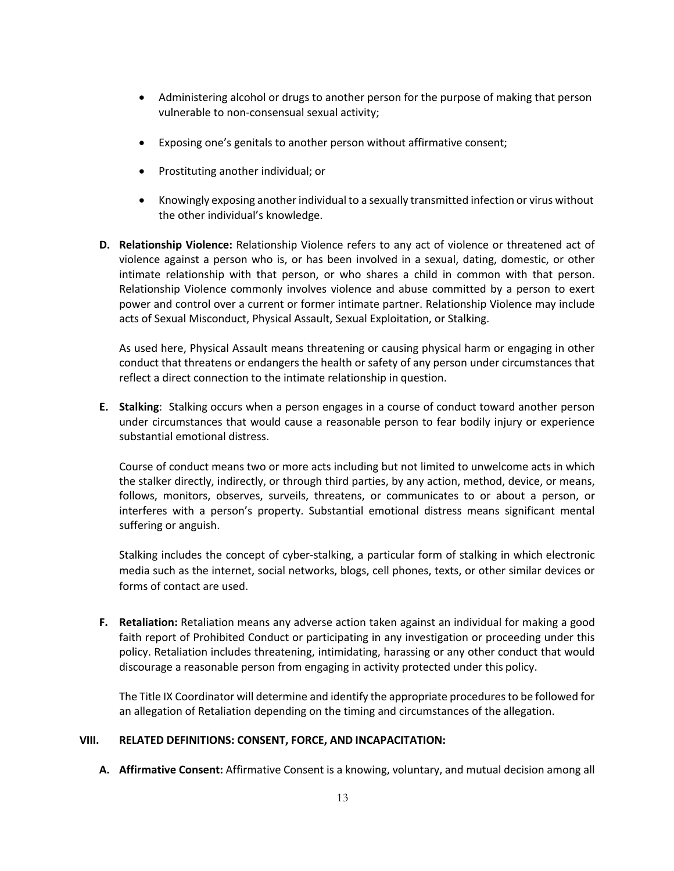- Administering alcohol or drugs to another person for the purpose of making that person vulnerable to non-consensual sexual activity;
- Exposing one's genitals to another person without affirmative consent;
- Prostituting another individual; or
- Knowingly exposing another individual to a sexually transmitted infection or virus without the other individual's knowledge.
- **D. Relationship Violence:** Relationship Violence refers to any act of violence or threatened act of violence against a person who is, or has been involved in a sexual, dating, domestic, or other intimate relationship with that person, or who shares a child in common with that person. Relationship Violence commonly involves violence and abuse committed by a person to exert power and control over a current or former intimate partner. Relationship Violence may include acts of Sexual Misconduct, Physical Assault, Sexual Exploitation, or Stalking.

As used here, Physical Assault means threatening or causing physical harm or engaging in other conduct that threatens or endangers the health or safety of any person under circumstances that reflect a direct connection to the intimate relationship in question.

**E. Stalking**: Stalking occurs when a person engages in a course of conduct toward another person under circumstances that would cause a reasonable person to fear bodily injury or experience substantial emotional distress.

Course of conduct means two or more acts including but not limited to unwelcome acts in which the stalker directly, indirectly, or through third parties, by any action, method, device, or means, follows, monitors, observes, surveils, threatens, or communicates to or about a person, or interferes with a person's property. Substantial emotional distress means significant mental suffering or anguish.

Stalking includes the concept of cyber-stalking, a particular form of stalking in which electronic media such as the internet, social networks, blogs, cell phones, texts, or other similar devices or forms of contact are used.

**F. Retaliation:** Retaliation means any adverse action taken against an individual for making a good faith report of Prohibited Conduct or participating in any investigation or proceeding under this policy. Retaliation includes threatening, intimidating, harassing or any other conduct that would discourage a reasonable person from engaging in activity protected under this policy.

The Title IX Coordinator will determine and identify the appropriate proceduresto be followed for an allegation of Retaliation depending on the timing and circumstances of the allegation.

#### **VIII. RELATED DEFINITIONS: CONSENT, FORCE, AND INCAPACITATION:**

**A. Affirmative Consent:** Affirmative Consent is a knowing, voluntary, and mutual decision among all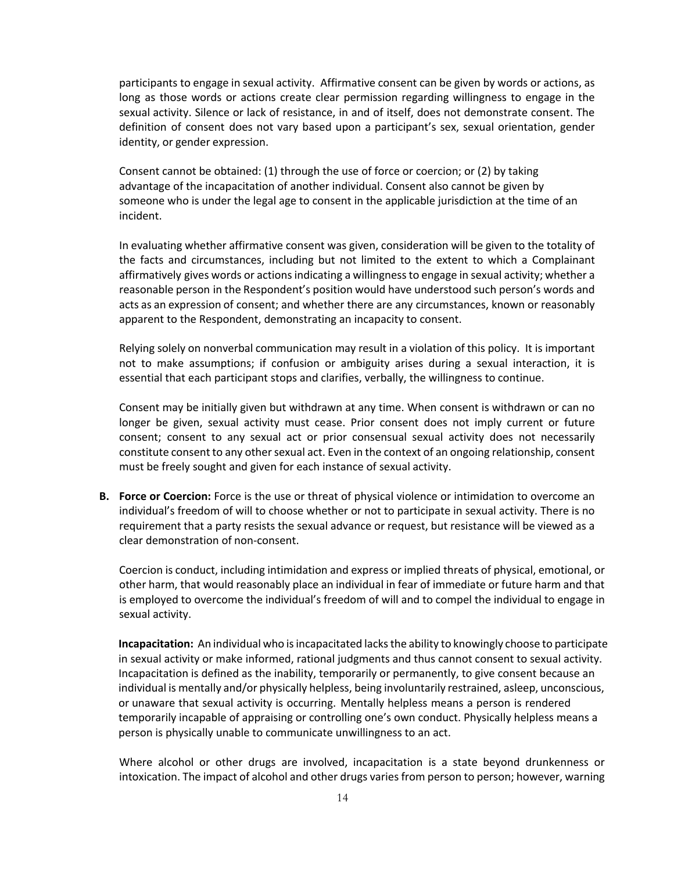participants to engage in sexual activity. Affirmative consent can be given by words or actions, as long as those words or actions create clear permission regarding willingness to engage in the sexual activity. Silence or lack of resistance, in and of itself, does not demonstrate consent. The definition of consent does not vary based upon a participant's sex, sexual orientation, gender identity, or gender expression.

Consent cannot be obtained: (1) through the use of force or coercion; or (2) by taking advantage of the incapacitation of another individual. Consent also cannot be given by someone who is under the legal age to consent in the applicable jurisdiction at the time of an incident.

In evaluating whether affirmative consent was given, consideration will be given to the totality of the facts and circumstances, including but not limited to the extent to which a Complainant affirmatively gives words or actionsindicating a willingnessto engage in sexual activity; whether a reasonable person in the Respondent's position would have understood such person's words and acts as an expression of consent; and whether there are any circumstances, known or reasonably apparent to the Respondent, demonstrating an incapacity to consent.

Relying solely on nonverbal communication may result in a violation of this policy. It is important not to make assumptions; if confusion or ambiguity arises during a sexual interaction, it is essential that each participant stops and clarifies, verbally, the willingness to continue.

Consent may be initially given but withdrawn at any time. When consent is withdrawn or can no longer be given, sexual activity must cease. Prior consent does not imply current or future consent; consent to any sexual act or prior consensual sexual activity does not necessarily constitute consent to any other sexual act. Even in the context of an ongoing relationship, consent must be freely sought and given for each instance of sexual activity.

**B. Force or Coercion:** Force is the use or threat of physical violence or intimidation to overcome an individual's freedom of will to choose whether or not to participate in sexual activity. There is no requirement that a party resists the sexual advance or request, but resistance will be viewed as a clear demonstration of non-consent.

Coercion is conduct, including intimidation and express or implied threats of physical, emotional, or other harm, that would reasonably place an individual in fear of immediate or future harm and that is employed to overcome the individual's freedom of will and to compel the individual to engage in sexual activity.

**Incapacitation:** An individual who isincapacitated lacksthe ability to knowingly choose to participate in sexual activity or make informed, rational judgments and thus cannot consent to sexual activity. Incapacitation is defined as the inability, temporarily or permanently, to give consent because an individual is mentally and/or physically helpless, being involuntarily restrained, asleep, unconscious, or unaware that sexual activity is occurring. Mentally helpless means a person is rendered temporarily incapable of appraising or controlling one's own conduct. Physically helpless means a person is physically unable to communicate unwillingness to an act.

Where alcohol or other drugs are involved, incapacitation is a state beyond drunkenness or intoxication. The impact of alcohol and other drugs varies from person to person; however, warning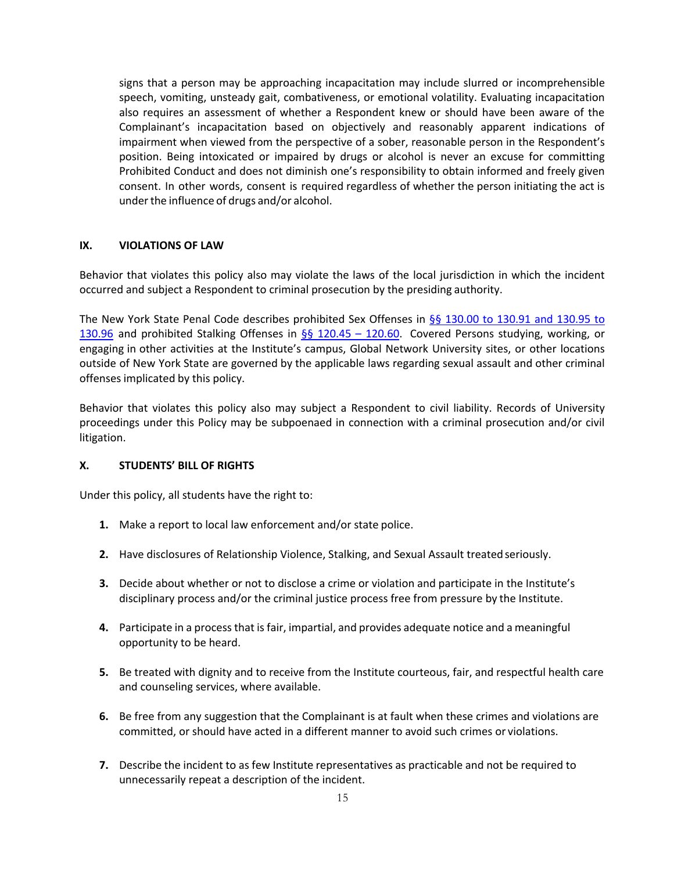signs that a person may be approaching incapacitation may include slurred or incomprehensible speech, vomiting, unsteady gait, combativeness, or emotional volatility. Evaluating incapacitation also requires an assessment of whether a Respondent knew or should have been aware of the Complainant's incapacitation based on objectively and reasonably apparent indications of impairment when viewed from the perspective of a sober, reasonable person in the Respondent's position. Being intoxicated or impaired by drugs or alcohol is never an excuse for committing Prohibited Conduct and does not diminish one's responsibility to obtain informed and freely given consent. In other words, consent is required regardless of whether the person initiating the act is under the influence of drugs and/or alcohol.

#### **IX. VIOLATIONS OF LAW**

Behavior that violates this policy also may violate the laws of the local jurisdiction in which the incident occurred and subject a Respondent to criminal prosecution by the presiding authority.

The New York State Penal Code describes prohibited Sex Offenses in §§ 130.00 to 130.91 and 130.95 to 130.96 and prohibited Stalking Offenses in §§ 120.45 – 120.60. Covered Persons studying, working, or engaging in other activities at the Institute's campus, Global Network University sites, or other locations outside of New York State are governed by the applicable laws regarding sexual assault and other criminal offenses implicated by this policy.

Behavior that violates this policy also may subject a Respondent to civil liability. Records of University proceedings under this Policy may be subpoenaed in connection with a criminal prosecution and/or civil litigation.

## **X. STUDENTS' BILL OF RIGHTS**

Under this policy, all students have the right to:

- **1.** Make a report to local law enforcement and/or state police.
- **2.** Have disclosures of Relationship Violence, Stalking, and Sexual Assault treatedseriously.
- **3.** Decide about whether or not to disclose a crime or violation and participate in the Institute's disciplinary process and/or the criminal justice process free from pressure by the Institute.
- **4.** Participate in a process that is fair, impartial, and provides adequate notice and a meaningful opportunity to be heard.
- **5.** Be treated with dignity and to receive from the Institute courteous, fair, and respectful health care and counseling services, where available.
- **6.** Be free from any suggestion that the Complainant is at fault when these crimes and violations are committed, or should have acted in a different manner to avoid such crimes or violations.
- **7.** Describe the incident to as few Institute representatives as practicable and not be required to unnecessarily repeat a description of the incident.